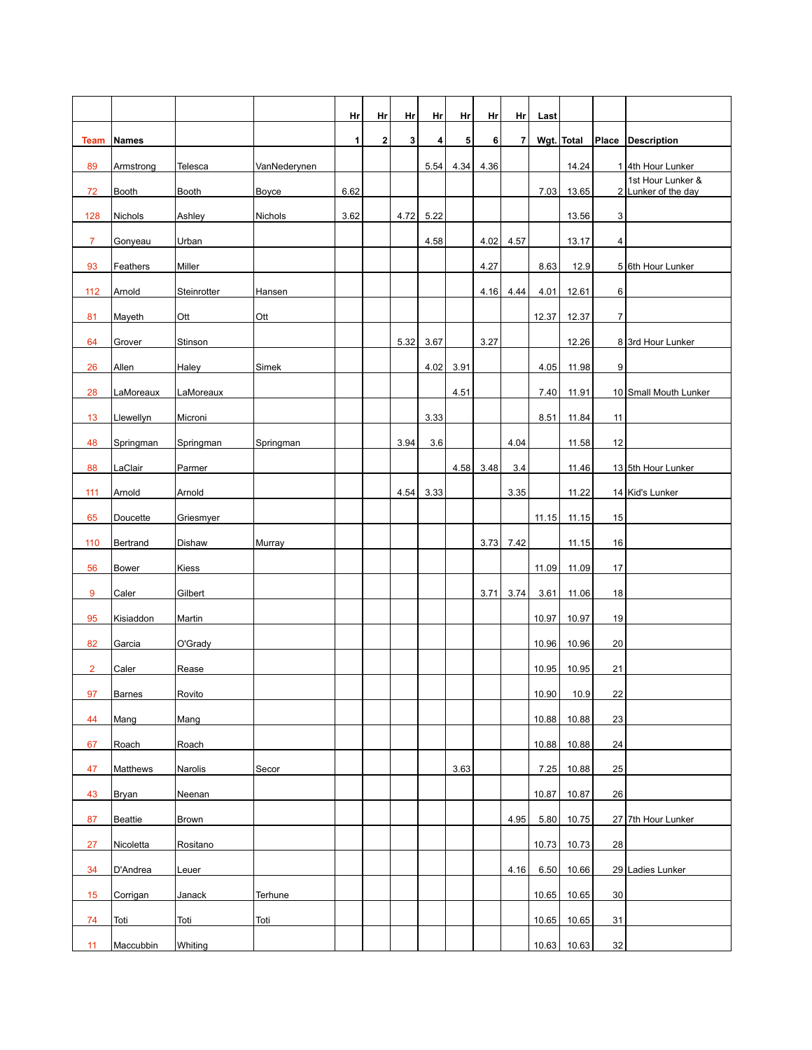|                |                |              |              | Hr           | Hr          | Hr   | Hr   | Hr   | Hr   | Hr   | Last  |            |                |                                          |
|----------------|----------------|--------------|--------------|--------------|-------------|------|------|------|------|------|-------|------------|----------------|------------------------------------------|
| Team           | <b>Names</b>   |              |              | $\mathbf{1}$ | $\mathbf 2$ | 3    | 4    | 5    | 6    | 7    |       | Wgt. Total |                | Place Description                        |
| 89             | Armstrong      | Telesca      | VanNederynen |              |             |      | 5.54 | 4.34 | 4.36 |      |       | 14.24      |                | 1 4th Hour Lunker                        |
| 72             | Booth          | <b>Booth</b> | Boyce        | 6.62         |             |      |      |      |      |      | 7.03  | 13.65      |                | 1st Hour Lunker &<br>2 Lunker of the day |
| 128            | Nichols        | Ashley       | Nichols      | 3.62         |             | 4.72 | 5.22 |      |      |      |       | 13.56      | $\mathbf{3}$   |                                          |
| $\overline{7}$ | Gonyeau        | Urban        |              |              |             |      | 4.58 |      | 4.02 | 4.57 |       | 13.17      | 4              |                                          |
| 93             | Feathers       | Miller       |              |              |             |      |      |      | 4.27 |      | 8.63  | 12.9       |                | 5 6th Hour Lunker                        |
| 112            | Arnold         | Steinrotter  | Hansen       |              |             |      |      |      | 4.16 | 4.44 | 4.01  | 12.61      | 6              |                                          |
| 81             | Mayeth         | Ott          | Ott          |              |             |      |      |      |      |      | 12.37 | 12.37      | $\overline{7}$ |                                          |
| 64             | Grover         | Stinson      |              |              |             | 5.32 | 3.67 |      | 3.27 |      |       | 12.26      |                | 8 3rd Hour Lunker                        |
| 26             | Allen          | Haley        | Simek        |              |             |      | 4.02 | 3.91 |      |      | 4.05  | 11.98      | 9              |                                          |
| 28             | LaMoreaux      | LaMoreaux    |              |              |             |      |      | 4.51 |      |      | 7.40  | 11.91      |                | 10 Small Mouth Lunker                    |
| 13             | Llewellyn      | Microni      |              |              |             |      | 3.33 |      |      |      | 8.51  | 11.84      | 11             |                                          |
| 48             | Springman      | Springman    | Springman    |              |             | 3.94 | 3.6  |      |      | 4.04 |       | 11.58      | 12             |                                          |
| 88             | LaClair        | Parmer       |              |              |             |      |      | 4.58 | 3.48 | 3.4  |       | 11.46      |                | 13 5th Hour Lunker                       |
| 111            | Arnold         | Arnold       |              |              |             | 4.54 | 3.33 |      |      | 3.35 |       | 11.22      |                | 14 Kid's Lunker                          |
| 65             | Doucette       | Griesmyer    |              |              |             |      |      |      |      |      | 11.15 | 11.15      | 15             |                                          |
| 110            | Bertrand       | Dishaw       | Murray       |              |             |      |      |      | 3.73 | 7.42 |       | 11.15      | 16             |                                          |
| 56             | <b>Bower</b>   | Kiess        |              |              |             |      |      |      |      |      | 11.09 | 11.09      | 17             |                                          |
| 9              | Caler          | Gilbert      |              |              |             |      |      |      | 3.71 | 3.74 | 3.61  | 11.06      | 18             |                                          |
| 95             | Kisiaddon      | Martin       |              |              |             |      |      |      |      |      | 10.97 | 10.97      | 19             |                                          |
| 82             | Garcia         | O'Grady      |              |              |             |      |      |      |      |      | 10.96 | 10.96      | 20             |                                          |
| $\overline{2}$ | Caler          | Rease        |              |              |             |      |      |      |      |      | 10.95 | 10.95      | 21             |                                          |
| 97             | <b>Barnes</b>  | Rovito       |              |              |             |      |      |      |      |      | 10.90 | 10.9       | 22             |                                          |
| 44             | Mang           | Mang         |              |              |             |      |      |      |      |      | 10.88 | 10.88      | 23             |                                          |
| 67             | Roach          | Roach        |              |              |             |      |      |      |      |      | 10.88 | 10.88      | 24             |                                          |
| 47             | Matthews       | Narolis      | Secor        |              |             |      |      | 3.63 |      |      | 7.25  | 10.88      | 25             |                                          |
| 43             | Bryan          | Neenan       |              |              |             |      |      |      |      |      | 10.87 | 10.87      | 26             |                                          |
| 87             | <b>Beattie</b> | Brown        |              |              |             |      |      |      |      | 4.95 | 5.80  | 10.75      |                | 27 7th Hour Lunker                       |
| 27             | Nicoletta      | Rositano     |              |              |             |      |      |      |      |      | 10.73 | 10.73      | 28             |                                          |
| 34             | D'Andrea       | Leuer        |              |              |             |      |      |      |      | 4.16 | 6.50  | 10.66      |                | 29 Ladies Lunker                         |
| 15             | Corrigan       | Janack       | Terhune      |              |             |      |      |      |      |      | 10.65 | 10.65      | 30             |                                          |
| 74             | Toti           | Toti         | Toti         |              |             |      |      |      |      |      | 10.65 | 10.65      | 31             |                                          |
| 11             | Maccubbin      | Whiting      |              |              |             |      |      |      |      |      | 10.63 | 10.63      | 32             |                                          |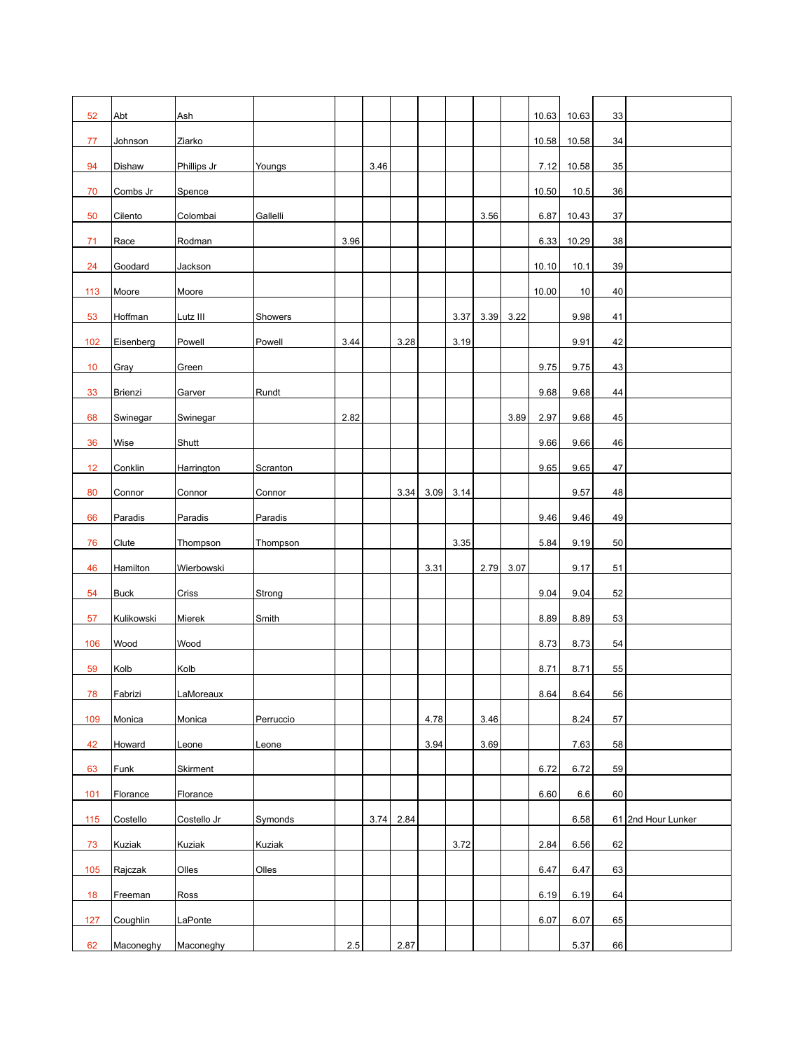| 52  | Abt        | Ash         |           |      |      |           |      |      |      |      | 10.63 | 10.63   | 33 |                    |
|-----|------------|-------------|-----------|------|------|-----------|------|------|------|------|-------|---------|----|--------------------|
| 77  | Johnson    | Ziarko      |           |      |      |           |      |      |      |      | 10.58 | 10.58   | 34 |                    |
| 94  | Dishaw     | Phillips Jr | Youngs    |      | 3.46 |           |      |      |      |      | 7.12  | 10.58   | 35 |                    |
| 70  | Combs Jr   | Spence      |           |      |      |           |      |      |      |      | 10.50 | 10.5    | 36 |                    |
| 50  | Cilento    | Colombai    | Gallelli  |      |      |           |      |      | 3.56 |      | 6.87  | 10.43   | 37 |                    |
| 71  | Race       | Rodman      |           | 3.96 |      |           |      |      |      |      | 6.33  | 10.29   | 38 |                    |
| 24  | Goodard    | Jackson     |           |      |      |           |      |      |      |      | 10.10 | 10.1    | 39 |                    |
| 113 | Moore      | Moore       |           |      |      |           |      |      |      |      | 10.00 | 10      | 40 |                    |
| 53  | Hoffman    | Lutz III    | Showers   |      |      |           |      | 3.37 | 3.39 | 3.22 |       | 9.98    | 41 |                    |
| 102 | Eisenberg  | Powell      | Powell    | 3.44 |      | 3.28      |      | 3.19 |      |      |       | 9.91    | 42 |                    |
| 10  | Gray       | Green       |           |      |      |           |      |      |      |      | 9.75  | 9.75    | 43 |                    |
| 33  | Brienzi    | Garver      | Rundt     |      |      |           |      |      |      |      | 9.68  | 9.68    | 44 |                    |
| 68  | Swinegar   | Swinegar    |           | 2.82 |      |           |      |      |      | 3.89 | 2.97  | 9.68    | 45 |                    |
| 36  | Wise       | Shutt       |           |      |      |           |      |      |      |      | 9.66  | 9.66    | 46 |                    |
| 12  | Conklin    | Harrington  | Scranton  |      |      |           |      |      |      |      | 9.65  | 9.65    | 47 |                    |
| 80  | Connor     | Connor      | Connor    |      |      | 3.34      | 3.09 | 3.14 |      |      |       | 9.57    | 48 |                    |
| 66  | Paradis    | Paradis     | Paradis   |      |      |           |      |      |      |      | 9.46  | 9.46    | 49 |                    |
| 76  | Clute      | Thompson    | Thompson  |      |      |           |      | 3.35 |      |      | 5.84  | 9.19    | 50 |                    |
| 46  | Hamilton   | Wierbowski  |           |      |      |           | 3.31 |      | 2.79 | 3.07 |       | 9.17    | 51 |                    |
| 54  | Buck       | Criss       | Strong    |      |      |           |      |      |      |      | 9.04  | 9.04    | 52 |                    |
| 57  | Kulikowski | Mierek      | Smith     |      |      |           |      |      |      |      | 8.89  | 8.89    | 53 |                    |
| 106 | Wood       | Wood        |           |      |      |           |      |      |      |      | 8.73  | 8.73    | 54 |                    |
| 59  | Kolb       | Kolb        |           |      |      |           |      |      |      |      | 8.71  | 8.71    | 55 |                    |
| 78  | Fabrizi    | LaMoreaux   |           |      |      |           |      |      |      |      | 8.64  | 8.64    | 56 |                    |
| 109 | Monica     | Monica      | Perruccio |      |      |           | 4.78 |      | 3.46 |      |       | 8.24    | 57 |                    |
| 42  | Howard     | Leone       | Leone     |      |      |           | 3.94 |      | 3.69 |      |       | 7.63    | 58 |                    |
| 63  | Funk       | Skirment    |           |      |      |           |      |      |      |      | 6.72  | 6.72    | 59 |                    |
| 101 | Florance   | Florance    |           |      |      |           |      |      |      |      | 6.60  | $6.6\,$ | 60 |                    |
| 115 | Costello   | Costello Jr | Symonds   |      |      | 3.74 2.84 |      |      |      |      |       | 6.58    |    | 61 2nd Hour Lunker |
| 73  | Kuziak     | Kuziak      | Kuziak    |      |      |           |      | 3.72 |      |      | 2.84  | 6.56    | 62 |                    |
| 105 | Rajczak    | Olles       | Olles     |      |      |           |      |      |      |      | 6.47  | 6.47    | 63 |                    |
| 18  | Freeman    | Ross        |           |      |      |           |      |      |      |      | 6.19  | 6.19    | 64 |                    |
| 127 | Coughlin   | LaPonte     |           |      |      |           |      |      |      |      | 6.07  | 6.07    | 65 |                    |
| 62  | Maconeghy  | Maconeghy   |           | 2.5  |      | 2.87      |      |      |      |      |       | 5.37    | 66 |                    |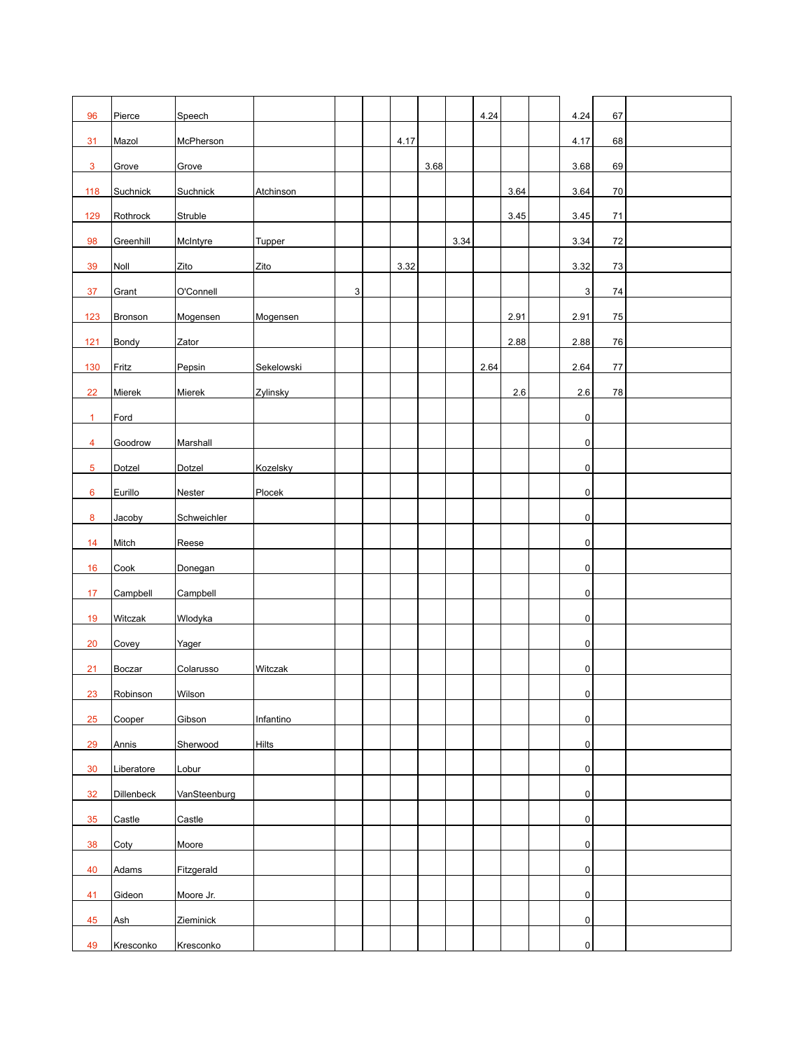| 96             | Pierce            | Speech       |              |             |      |      |      | 4.24 |      | 4.24           | 67 |  |
|----------------|-------------------|--------------|--------------|-------------|------|------|------|------|------|----------------|----|--|
| 31             | Mazol             | McPherson    |              |             | 4.17 |      |      |      |      | 4.17           | 68 |  |
| $\mathbf{3}$   | Grove             | Grove        |              |             |      | 3.68 |      |      |      | 3.68           | 69 |  |
| 118            | Suchnick          | Suchnick     | Atchinson    |             |      |      |      |      | 3.64 | 3.64           | 70 |  |
| 129            | Rothrock          | Struble      |              |             |      |      |      |      | 3.45 | 3.45           | 71 |  |
| 98             | Greenhill         | McIntyre     | Tupper       |             |      |      | 3.34 |      |      | 3.34           | 72 |  |
| 39             | Noll              | Zito         | Zito         |             | 3.32 |      |      |      |      | 3.32           | 73 |  |
|                |                   |              |              |             |      |      |      |      |      |                |    |  |
| 37             | Grant             | O'Connell    |              | $\mathsf 3$ |      |      |      |      |      | 3              | 74 |  |
| 123            | Bronson           | Mogensen     | Mogensen     |             |      |      |      |      | 2.91 | 2.91           | 75 |  |
| $121$          | Bondy             | Zator        |              |             |      |      |      |      | 2.88 | 2.88           | 76 |  |
| 130            | Fritz             | Pepsin       | Sekelowski   |             |      |      |      | 2.64 |      | 2.64           | 77 |  |
| 22             | Mierek            | Mierek       | Zylinsky     |             |      |      |      |      | 2.6  | 2.6            | 78 |  |
| $\mathbf{1}$   | Ford              |              |              |             |      |      |      |      |      | 0              |    |  |
| $\overline{4}$ | Goodrow           | Marshall     |              |             |      |      |      |      |      | $\pmb{0}$      |    |  |
| 5              | Dotzel            | Dotzel       | Kozelsky     |             |      |      |      |      |      | 0              |    |  |
| 6              | Eurillo           | Nester       | Plocek       |             |      |      |      |      |      | 0              |    |  |
| 8              | Jacoby            | Schweichler  |              |             |      |      |      |      |      | $\overline{0}$ |    |  |
| 14             | Mitch             | Reese        |              |             |      |      |      |      |      | $\pmb{0}$      |    |  |
| 16             | Cook              | Donegan      |              |             |      |      |      |      |      | $\overline{0}$ |    |  |
| 17             | Campbell          | Campbell     |              |             |      |      |      |      |      | 0              |    |  |
| 19             | Witczak           | Wlodyka      |              |             |      |      |      |      |      | 0              |    |  |
| 20             | Covey             | Yager        |              |             |      |      |      |      |      | 0              |    |  |
| 21             | Boczar            | Colarusso    | Witczak      |             |      |      |      |      |      | 0              |    |  |
| 23             | Robinson          | Wilson       |              |             |      |      |      |      |      | $\mathbf{0}$   |    |  |
| 25             | Cooper            | Gibson       | Infantino    |             |      |      |      |      |      | $\pmb{0}$      |    |  |
|                |                   |              |              |             |      |      |      |      |      |                |    |  |
| 29             | Annis             | Sherwood     | <b>Hilts</b> |             |      |      |      |      |      | 0              |    |  |
| 30             | Liberatore        | Lobur        |              |             |      |      |      |      |      | 0              |    |  |
| 32             | <b>Dillenbeck</b> | VanSteenburg |              |             |      |      |      |      |      | 0              |    |  |
| 35             | Castle            | Castle       |              |             |      |      |      |      |      | $\pmb{0}$      |    |  |
| 38             | Coty              | Moore        |              |             |      |      |      |      |      | $\overline{0}$ |    |  |
| 40             | Adams             | Fitzgerald   |              |             |      |      |      |      |      | $\overline{0}$ |    |  |
| 41             | Gideon            | Moore Jr.    |              |             |      |      |      |      |      | 0              |    |  |
| 45             | Ash               | Zieminick    |              |             |      |      |      |      |      | 0              |    |  |
| 49             | Kresconko         | Kresconko    |              |             |      |      |      |      |      | $\pmb{0}$      |    |  |